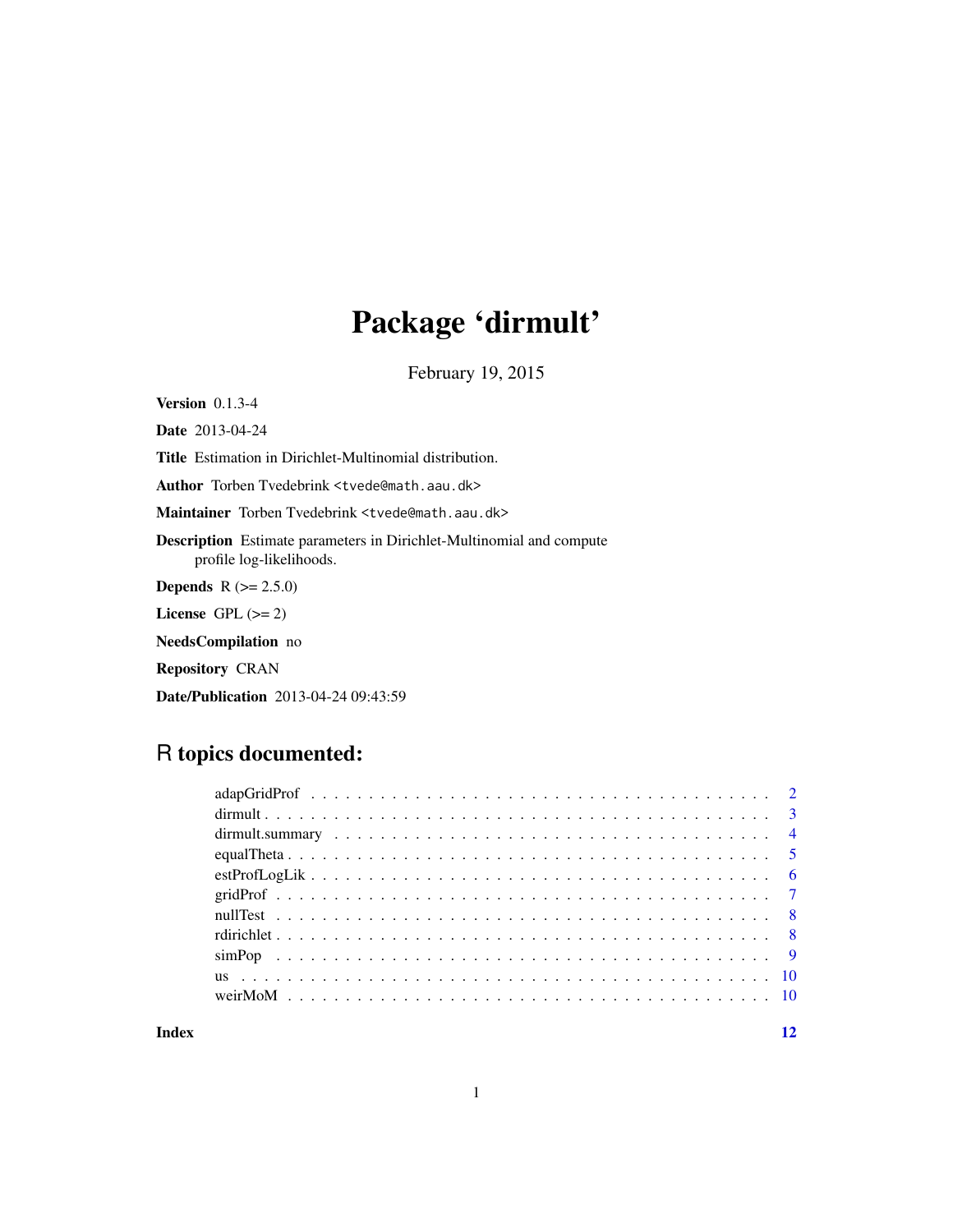## Package 'dirmult'

February 19, 2015

<span id="page-0-0"></span>Version 0.1.3-4

Date 2013-04-24

Title Estimation in Dirichlet-Multinomial distribution.

Author Torben Tvedebrink <tvede@math.aau.dk>

Maintainer Torben Tvedebrink <tvede@math.aau.dk>

Description Estimate parameters in Dirichlet-Multinomial and compute profile log-likelihoods.

**Depends**  $R (= 2.5.0)$ 

License GPL  $(>= 2)$ 

NeedsCompilation no

Repository CRAN

Date/Publication 2013-04-24 09:43:59

### R topics documented:

#### **Index** [12](#page-11-0)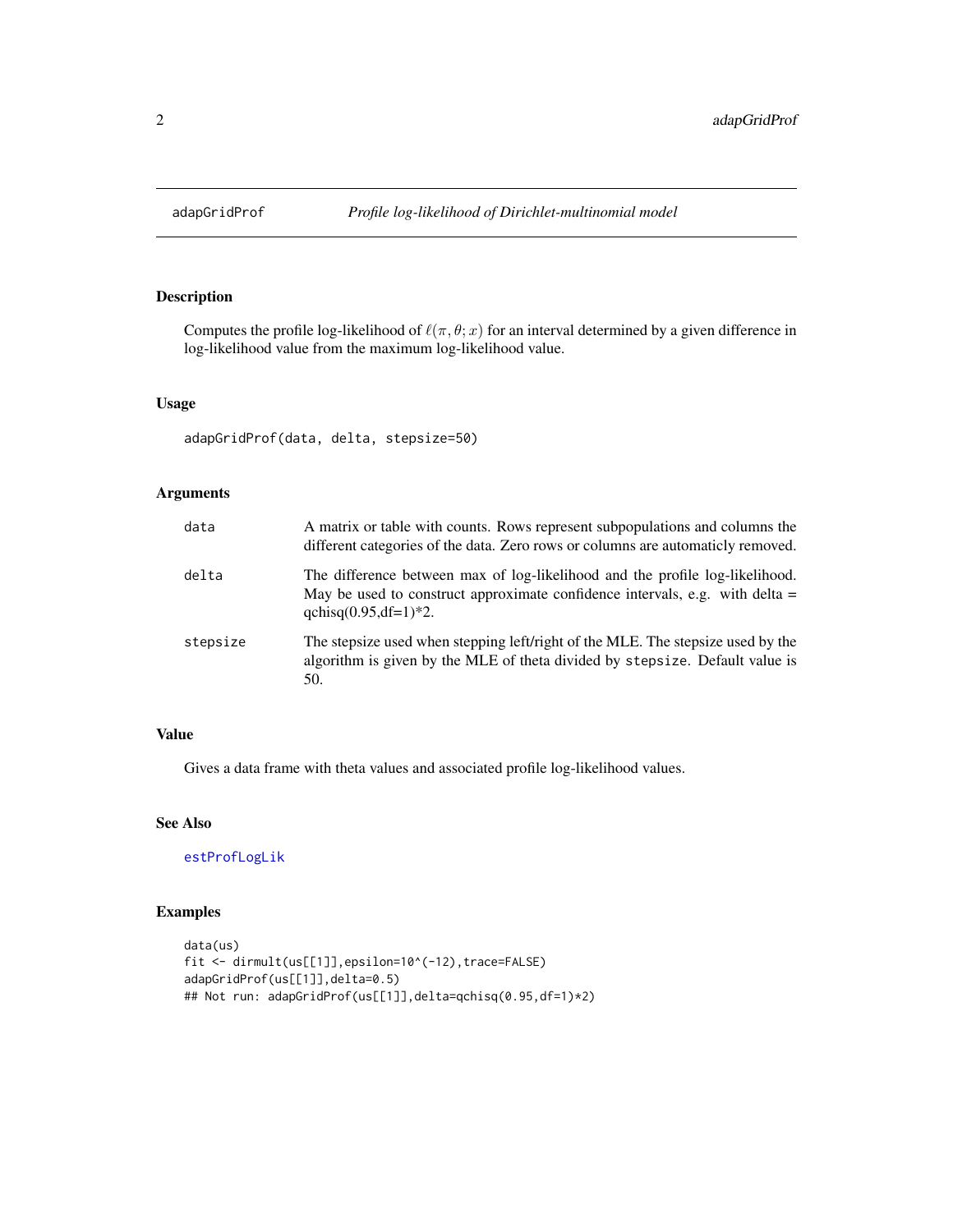<span id="page-1-0"></span>

#### Description

Computes the profile log-likelihood of  $\ell(\pi, \theta; x)$  for an interval determined by a given difference in log-likelihood value from the maximum log-likelihood value.

#### Usage

adapGridProf(data, delta, stepsize=50)

#### Arguments

| data     | A matrix or table with counts. Rows represent subpopulations and columns the<br>different categories of the data. Zero rows or columns are automaticly removed.                             |
|----------|---------------------------------------------------------------------------------------------------------------------------------------------------------------------------------------------|
| delta    | The difference between max of log-likelihood and the profile log-likelihood.<br>May be used to construct approximate confidence intervals, e.g. with delta $=$<br>qchisq $(0.95, df=1)*2$ . |
| stepsize | The stepsize used when stepping left/right of the MLE. The stepsize used by the<br>algorithm is given by the MLE of theta divided by stepsize. Default value is<br>50.                      |

#### Value

Gives a data frame with theta values and associated profile log-likelihood values.

#### See Also

[estProfLogLik](#page-5-1)

#### Examples

```
data(us)
fit <- dirmult(us[[1]],epsilon=10^(-12),trace=FALSE)
adapGridProf(us[[1]],delta=0.5)
## Not run: adapGridProf(us[[1]],delta=qchisq(0.95,df=1)*2)
```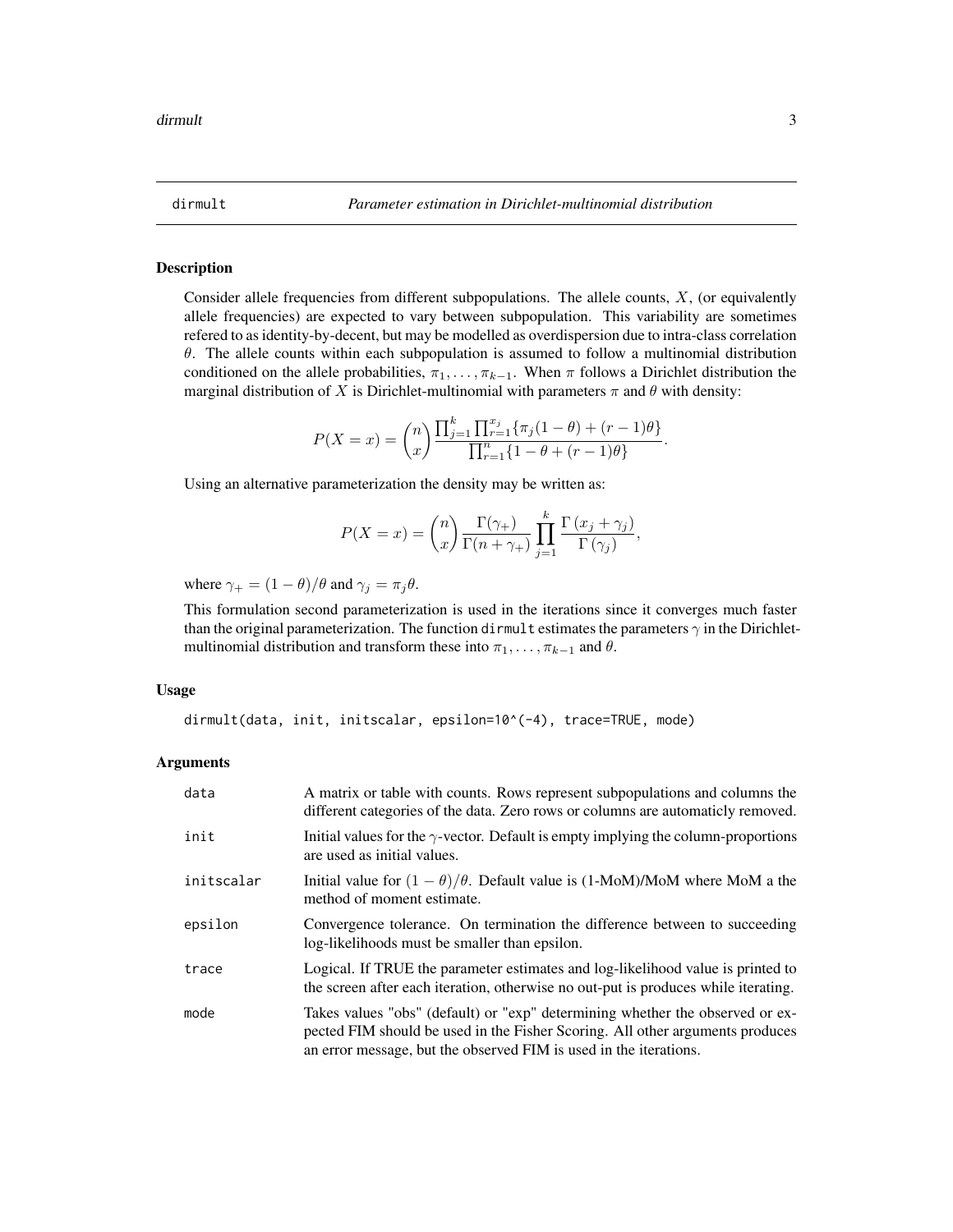<span id="page-2-1"></span><span id="page-2-0"></span>

#### Description

Consider allele frequencies from different subpopulations. The allele counts,  $X$ , (or equivalently allele frequencies) are expected to vary between subpopulation. This variability are sometimes refered to as identity-by-decent, but may be modelled as overdispersion due to intra-class correlation  $\theta$ . The allele counts within each subpopulation is assumed to follow a multinomial distribution conditioned on the allele probabilities,  $\pi_1, \ldots, \pi_{k-1}$ . When  $\pi$  follows a Dirichlet distribution the marginal distribution of X is Dirichlet-multinomial with parameters  $\pi$  and  $\theta$  with density:

$$
P(X = x) = {n \choose x} \frac{\prod_{j=1}^{k} \prod_{r=1}^{x_j} \{\pi_j(1-\theta) + (r-1)\theta\}}{\prod_{r=1}^{n} \{1-\theta + (r-1)\theta\}}.
$$

Using an alternative parameterization the density may be written as:

$$
P(X = x) = {n \choose x} \frac{\Gamma(\gamma_+)}{\Gamma(n + \gamma_+)} \prod_{j=1}^k \frac{\Gamma(x_j + \gamma_j)}{\Gamma(\gamma_j)},
$$

where  $\gamma_+ = (1 - \theta)/\theta$  and  $\gamma_j = \pi_j \theta$ .

This formulation second parameterization is used in the iterations since it converges much faster than the original parameterization. The function dirmult estimates the parameters  $\gamma$  in the Dirichletmultinomial distribution and transform these into  $\pi_1, \ldots, \pi_{k-1}$  and  $\theta$ .

#### Usage

dirmult(data, init, initscalar, epsilon=10^(-4), trace=TRUE, mode)

#### Arguments

| data       | A matrix or table with counts. Rows represent subpopulations and columns the<br>different categories of the data. Zero rows or columns are automaticly removed.                                                                     |
|------------|-------------------------------------------------------------------------------------------------------------------------------------------------------------------------------------------------------------------------------------|
| init       | Initial values for the $\gamma$ -vector. Default is empty implying the column-proportions<br>are used as initial values.                                                                                                            |
| initscalar | Initial value for $(1 - \theta)/\theta$ . Default value is $(1-MoM)/MoM$ where MoM a the<br>method of moment estimate.                                                                                                              |
| epsilon    | Convergence tolerance. On termination the difference between to succeeding<br>log-likelihoods must be smaller than epsilon.                                                                                                         |
| trace      | Logical. If TRUE the parameter estimates and log-likelihood value is printed to<br>the screen after each iteration, otherwise no out-put is produces while iterating.                                                               |
| mode       | Takes values "obs" (default) or "exp" determining whether the observed or ex-<br>pected FIM should be used in the Fisher Scoring. All other arguments produces<br>an error message, but the observed FIM is used in the iterations. |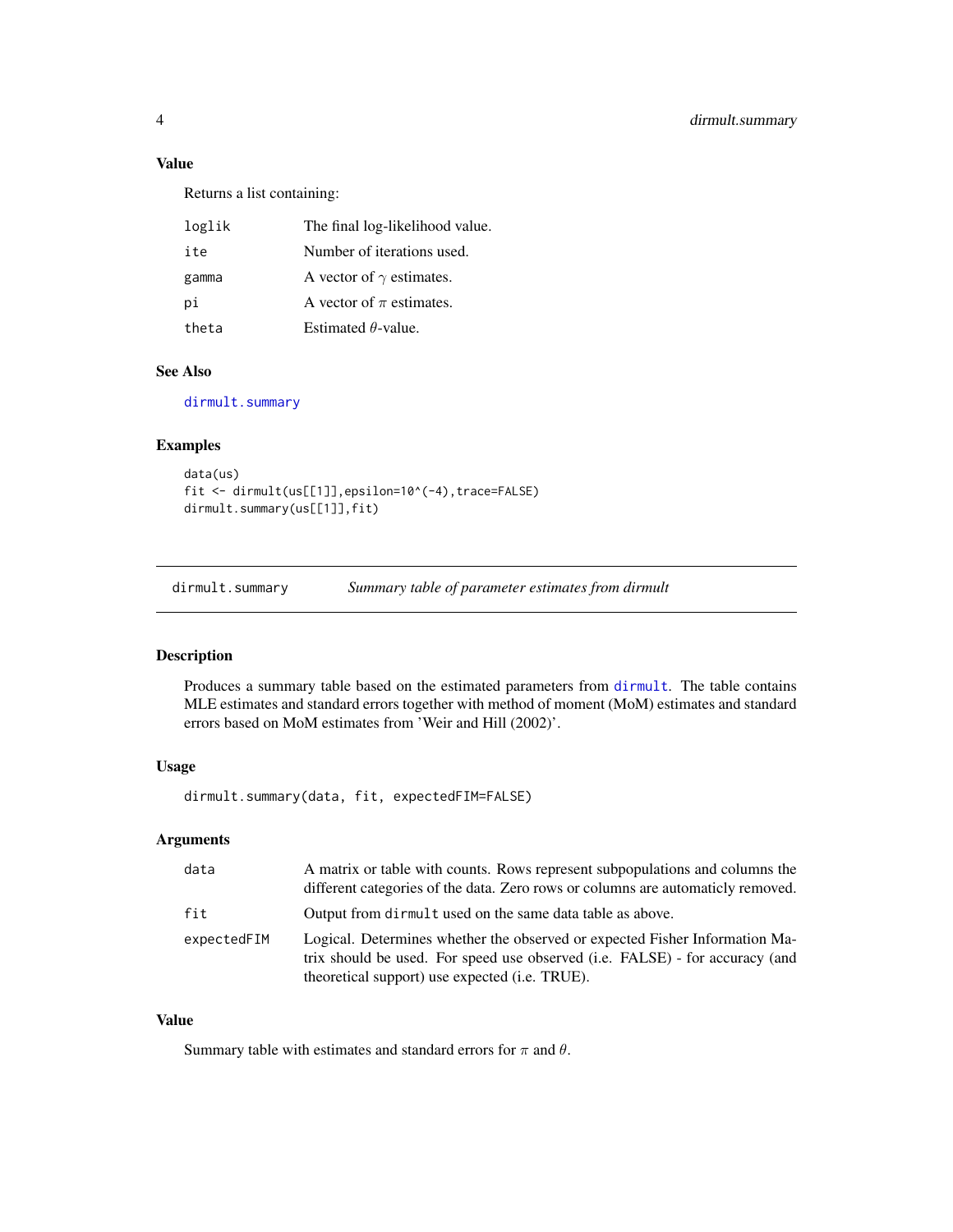#### <span id="page-3-0"></span>Value

Returns a list containing:

| loglik | The final log-likelihood value. |
|--------|---------------------------------|
| ite    | Number of iterations used.      |
| gamma  | A vector of $\gamma$ estimates. |
| рi     | A vector of $\pi$ estimates.    |
| theta  | Estimated $\theta$ -value.      |

#### See Also

[dirmult.summary](#page-3-1)

#### Examples

```
data(us)
fit <- dirmult(us[[1]],epsilon=10^(-4),trace=FALSE)
dirmult.summary(us[[1]],fit)
```
<span id="page-3-1"></span>dirmult.summary *Summary table of parameter estimates from dirmult*

#### Description

Produces a summary table based on the estimated parameters from [dirmult](#page-2-1). The table contains MLE estimates and standard errors together with method of moment (MoM) estimates and standard errors based on MoM estimates from 'Weir and Hill (2002)'.

#### Usage

dirmult.summary(data, fit, expectedFIM=FALSE)

#### Arguments

| data        | A matrix or table with counts. Rows represent subpopulations and columns the<br>different categories of the data. Zero rows or columns are automaticly removed.                                               |
|-------------|---------------------------------------------------------------------------------------------------------------------------------------------------------------------------------------------------------------|
| fit         | Output from dirmult used on the same data table as above.                                                                                                                                                     |
| expectedFIM | Logical. Determines whether the observed or expected Fisher Information Ma-<br>trix should be used. For speed use observed (i.e. FALSE) - for accuracy (and<br>theoretical support) use expected (i.e. TRUE). |

#### Value

Summary table with estimates and standard errors for  $\pi$  and  $\theta$ .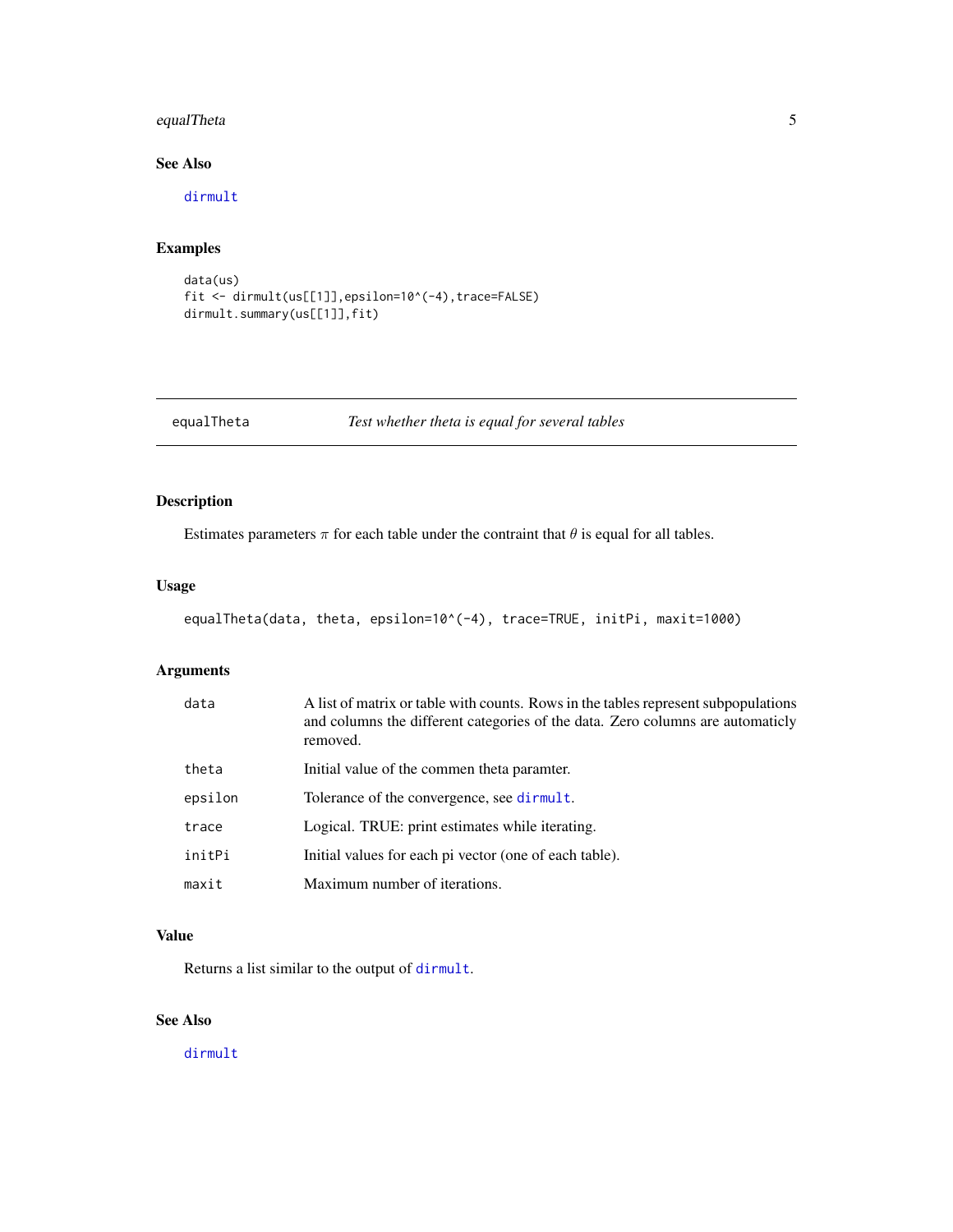#### <span id="page-4-0"></span>equalTheta 5

#### See Also

[dirmult](#page-2-1)

#### Examples

```
data(us)
fit <- dirmult(us[[1]],epsilon=10^(-4),trace=FALSE)
dirmult.summary(us[[1]],fit)
```
equalTheta *Test whether theta is equal for several tables*

#### Description

Estimates parameters  $\pi$  for each table under the contraint that  $\theta$  is equal for all tables.

#### Usage

```
equalTheta(data, theta, epsilon=10^(-4), trace=TRUE, initPi, maxit=1000)
```
#### Arguments

| data    | A list of matrix or table with counts. Rows in the tables represent subpopulations<br>and columns the different categories of the data. Zero columns are automaticly<br>removed. |
|---------|----------------------------------------------------------------------------------------------------------------------------------------------------------------------------------|
| theta   | Initial value of the commen theta paramter.                                                                                                                                      |
| epsilon | Tolerance of the convergence, see dirmult.                                                                                                                                       |
| trace   | Logical. TRUE: print estimates while iterating.                                                                                                                                  |
| initPi  | Initial values for each pi vector (one of each table).                                                                                                                           |
| maxit   | Maximum number of iterations.                                                                                                                                                    |

#### Value

Returns a list similar to the output of [dirmult](#page-2-1).

#### See Also

[dirmult](#page-2-1)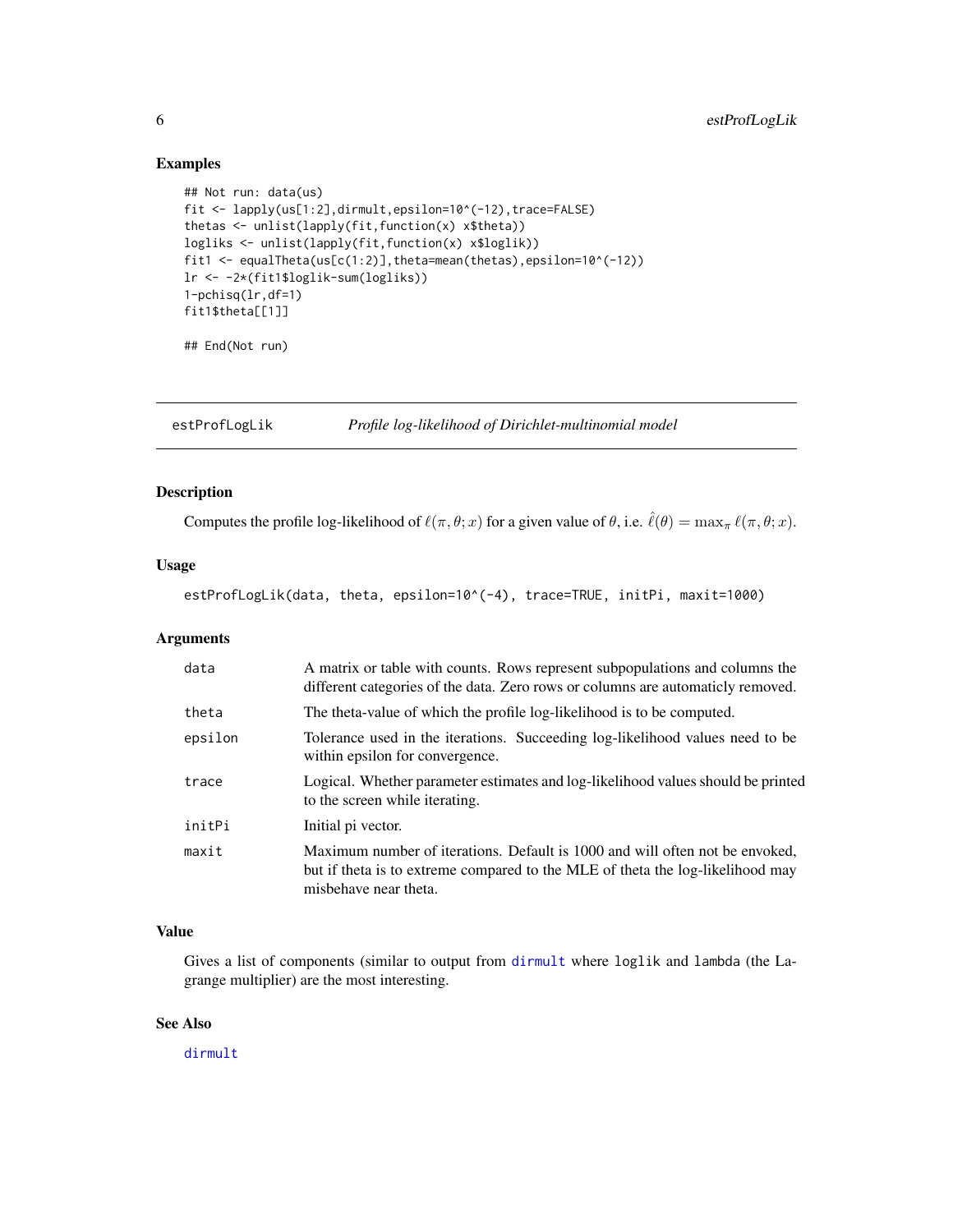#### Examples

```
## Not run: data(us)
fit <- lapply(us[1:2],dirmult,epsilon=10^(-12),trace=FALSE)
thetas <- unlist(lapply(fit,function(x) x$theta))
logliks <- unlist(lapply(fit,function(x) x$loglik))
fit1 <- equalTheta(us[c(1:2)],theta=mean(thetas),epsilon=10^(-12))
lr <- -2*(fit1$loglik-sum(logliks))
1-pchisq(lr,df=1)
fit1$theta[[1]]
```
## End(Not run)

<span id="page-5-1"></span>estProfLogLik *Profile log-likelihood of Dirichlet-multinomial model*

#### Description

Computes the profile log-likelihood of  $\ell(\pi, \theta; x)$  for a given value of  $\theta$ , i.e.  $\hat{\ell}(\theta) = \max_{\pi} \ell(\pi, \theta; x)$ .

#### Usage

estProfLogLik(data, theta, epsilon=10^(-4), trace=TRUE, initPi, maxit=1000)

#### Arguments

| data    | A matrix or table with counts. Rows represent subpopulations and columns the<br>different categories of the data. Zero rows or columns are automaticly removed.                         |
|---------|-----------------------------------------------------------------------------------------------------------------------------------------------------------------------------------------|
| theta   | The theta-value of which the profile log-likelihood is to be computed.                                                                                                                  |
| epsilon | Tolerance used in the iterations. Succeeding log-likelihood values need to be<br>within epsilon for convergence.                                                                        |
| trace   | Logical. Whether parameter estimates and log-likelihood values should be printed<br>to the screen while iterating.                                                                      |
| initPi  | Initial pi vector.                                                                                                                                                                      |
| maxit   | Maximum number of iterations. Default is 1000 and will often not be envoked,<br>but if theta is to extreme compared to the MLE of theta the log-likelihood may<br>misbehave near theta. |

#### Value

Gives a list of components (similar to output from [dirmult](#page-2-1) where loglik and lambda (the Lagrange multiplier) are the most interesting.

#### See Also

[dirmult](#page-2-1)

<span id="page-5-0"></span>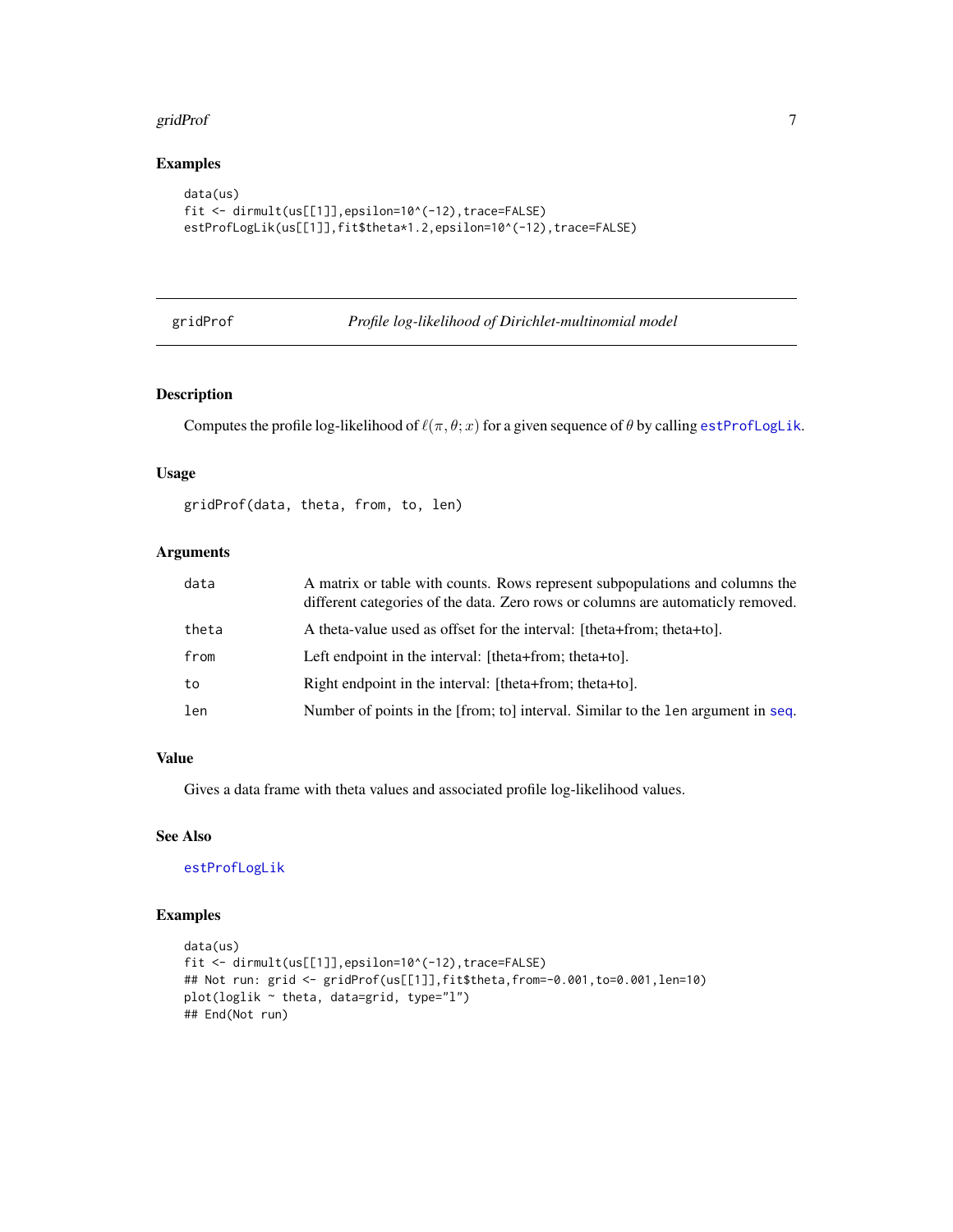#### <span id="page-6-0"></span>gridProf 7 and 2008 and 2008 and 2008 and 2008 and 2008 and 2008 and 2008 and 2008 and 2008 and 2008 and 2008

#### Examples

```
data(us)
fit <- dirmult(us[[1]],epsilon=10^(-12),trace=FALSE)
estProfLogLik(us[[1]],fit$theta*1.2,epsilon=10^(-12),trace=FALSE)
```
#### gridProf *Profile log-likelihood of Dirichlet-multinomial model*

#### Description

Computes the profile log-likelihood of  $\ell(\pi, \theta; x)$  for a given sequence of  $\theta$  by calling [estProfLogLik](#page-5-1).

#### Usage

gridProf(data, theta, from, to, len)

#### Arguments

| data  | A matrix or table with counts. Rows represent subpopulations and columns the<br>different categories of the data. Zero rows or columns are automaticly removed. |
|-------|-----------------------------------------------------------------------------------------------------------------------------------------------------------------|
| theta | A theta-value used as offset for the interval: [theta+from; theta+to].                                                                                          |
| from  | Left endpoint in the interval: [theta+from; theta+to].                                                                                                          |
| to    | Right endpoint in the interval: [theta+from; theta+to].                                                                                                         |
| len   | Number of points in the [from; to] interval. Similar to the len argument in seq.                                                                                |

#### Value

Gives a data frame with theta values and associated profile log-likelihood values.

#### See Also

[estProfLogLik](#page-5-1)

#### Examples

```
data(us)
fit <- dirmult(us[[1]],epsilon=10^(-12),trace=FALSE)
## Not run: grid <- gridProf(us[[1]],fit$theta,from=-0.001,to=0.001,len=10)
plot(loglik ~ theta, data=grid, type="l")
## End(Not run)
```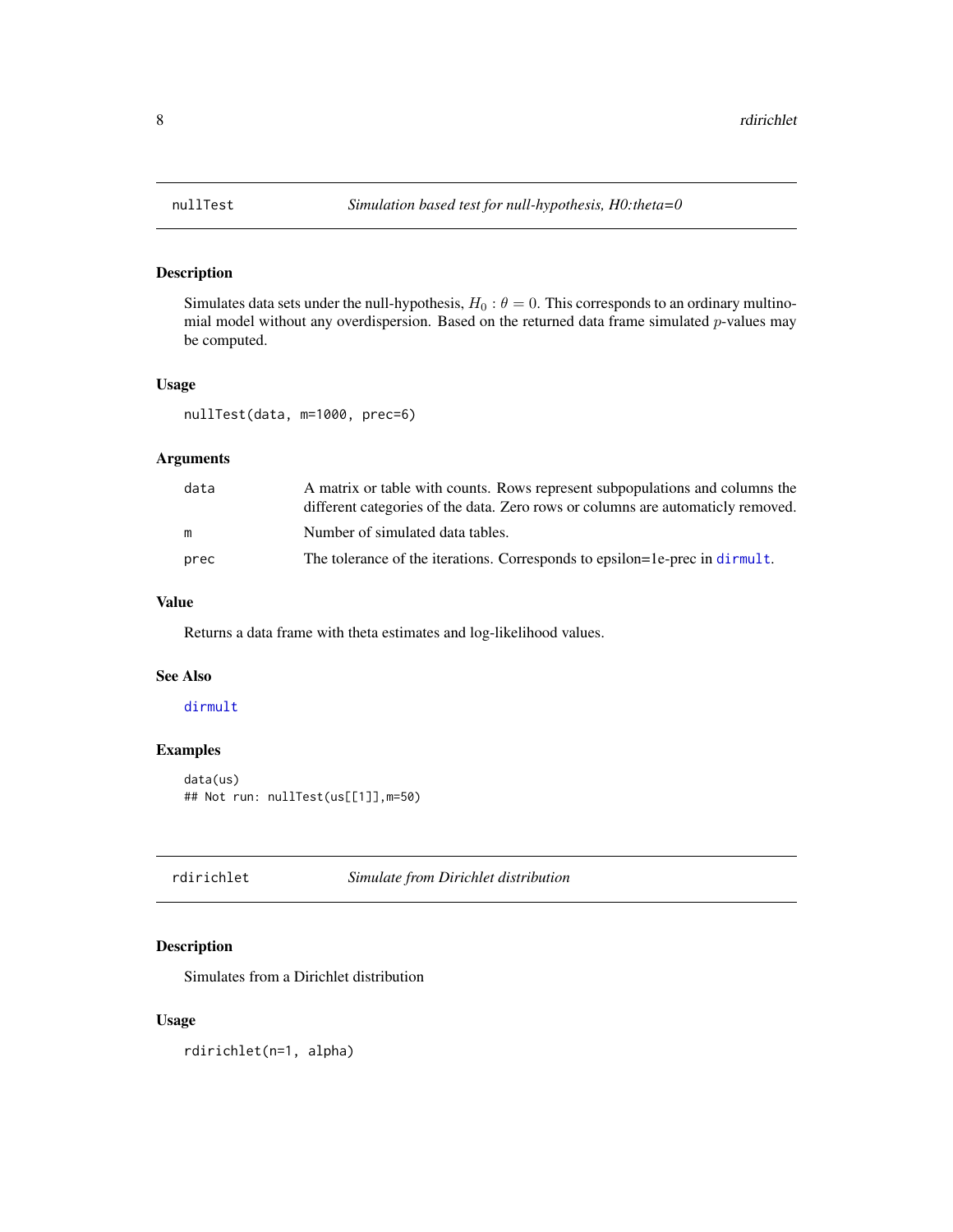<span id="page-7-0"></span>

#### Description

Simulates data sets under the null-hypothesis,  $H_0$ :  $\theta = 0$ . This corresponds to an ordinary multinomial model without any overdispersion. Based on the returned data frame simulated  $p$ -values may be computed.

#### Usage

nullTest(data, m=1000, prec=6)

#### Arguments

| data | A matrix or table with counts. Rows represent subpopulations and columns the<br>different categories of the data. Zero rows or columns are automaticly removed. |
|------|-----------------------------------------------------------------------------------------------------------------------------------------------------------------|
| m    | Number of simulated data tables.                                                                                                                                |
| prec | The tolerance of the iterations. Corresponds to epsilon=1e-prec in dirmult.                                                                                     |

#### Value

Returns a data frame with theta estimates and log-likelihood values.

#### See Also

#### [dirmult](#page-2-1)

#### Examples

```
data(us)
## Not run: nullTest(us[[1]],m=50)
```
rdirichlet *Simulate from Dirichlet distribution*

#### Description

Simulates from a Dirichlet distribution

#### Usage

rdirichlet(n=1, alpha)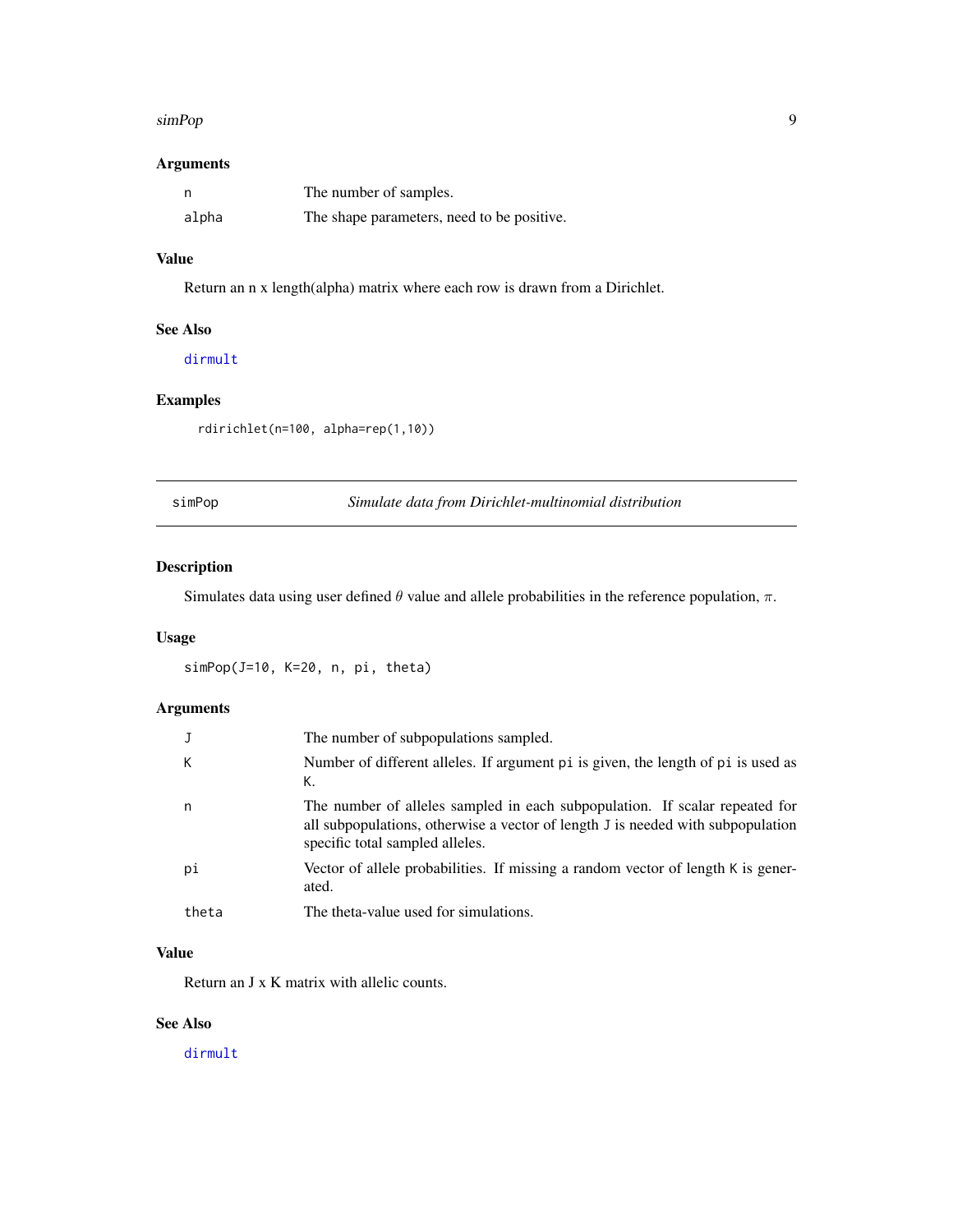#### <span id="page-8-0"></span>simPop 9

#### Arguments

|       | The number of samples.                     |
|-------|--------------------------------------------|
| alpha | The shape parameters, need to be positive. |

#### Value

Return an n x length(alpha) matrix where each row is drawn from a Dirichlet.

#### See Also

[dirmult](#page-2-1)

#### Examples

rdirichlet(n=100, alpha=rep(1,10))

| 1 MP | ١r |
|------|----|
|      |    |

Simulate data from Dirichlet-multinomial distribution

#### Description

Simulates data using user defined  $\theta$  value and allele probabilities in the reference population,  $\pi$ .

#### Usage

simPop(J=10, K=20, n, pi, theta)

#### Arguments

|       | The number of subpopulations sampled.                                                                                                                                                             |
|-------|---------------------------------------------------------------------------------------------------------------------------------------------------------------------------------------------------|
| К     | Number of different alleles. If argument pi is given, the length of pi is used as<br>К.                                                                                                           |
| n     | The number of alleles sampled in each subpopulation. If scalar repeated for<br>all subpopulations, otherwise a vector of length J is needed with subpopulation<br>specific total sampled alleles. |
| рi    | Vector of allele probabilities. If missing a random vector of length K is gener-<br>ated.                                                                                                         |
| theta | The theta-value used for simulations.                                                                                                                                                             |

#### Value

Return an J x K matrix with allelic counts.

#### See Also

[dirmult](#page-2-1)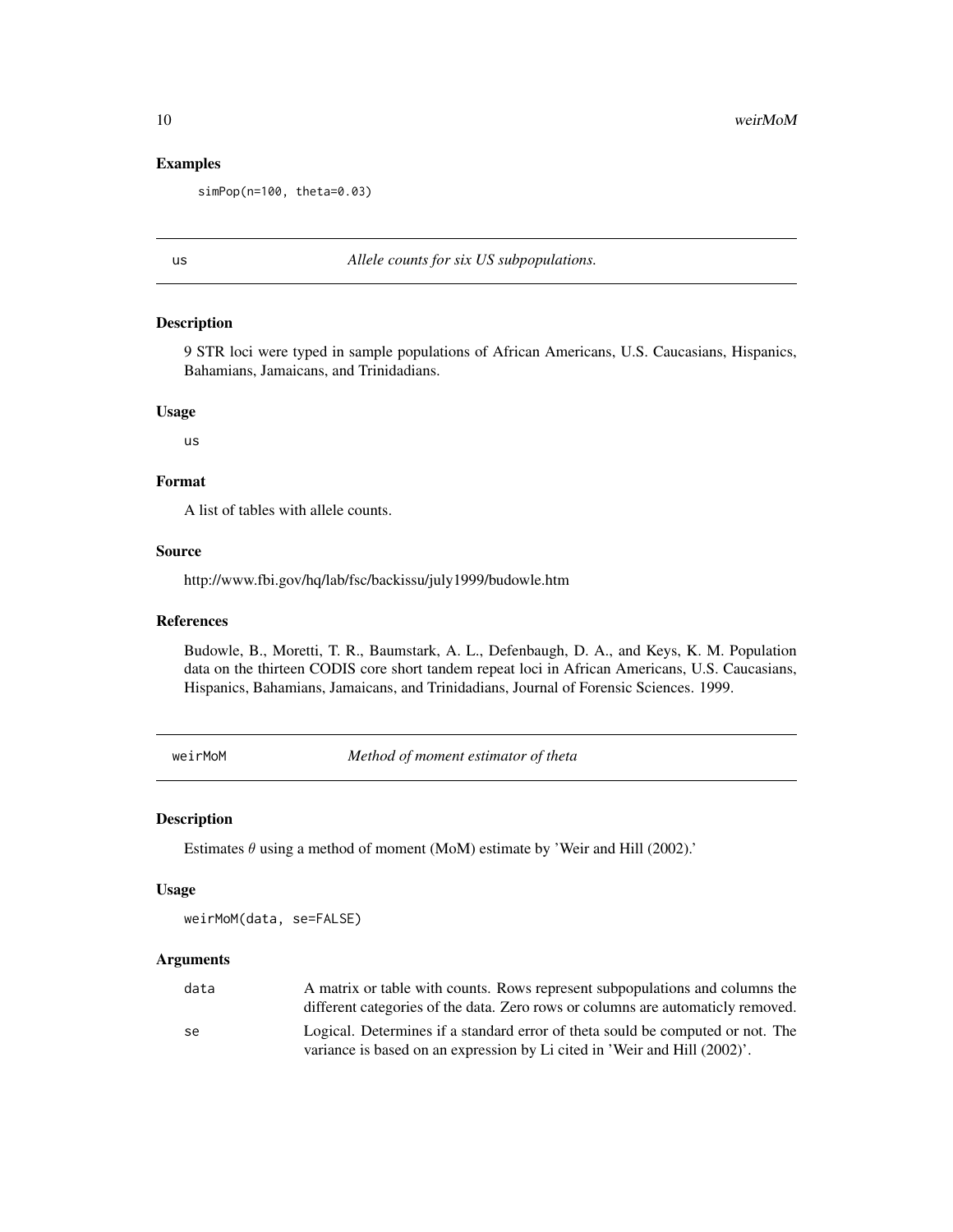#### Examples

simPop(n=100, theta=0.03)

#### us *Allele counts for six US subpopulations.*

#### Description

9 STR loci were typed in sample populations of African Americans, U.S. Caucasians, Hispanics, Bahamians, Jamaicans, and Trinidadians.

#### Usage

us

#### Format

A list of tables with allele counts.

#### Source

http://www.fbi.gov/hq/lab/fsc/backissu/july1999/budowle.htm

#### References

Budowle, B., Moretti, T. R., Baumstark, A. L., Defenbaugh, D. A., and Keys, K. M. Population data on the thirteen CODIS core short tandem repeat loci in African Americans, U.S. Caucasians, Hispanics, Bahamians, Jamaicans, and Trinidadians, Journal of Forensic Sciences. 1999.

weirMoM *Method of moment estimator of theta*

#### Description

Estimates  $\theta$  using a method of moment (MoM) estimate by 'Weir and Hill (2002).'

#### Usage

weirMoM(data, se=FALSE)

#### Arguments

| data | A matrix or table with counts. Rows represent subpopulations and columns the                                                                                |
|------|-------------------------------------------------------------------------------------------------------------------------------------------------------------|
|      | different categories of the data. Zero rows or columns are automaticly removed.                                                                             |
| se   | Logical. Determines if a standard error of theta sould be computed or not. The<br>variance is based on an expression by Li cited in 'Weir and Hill (2002)'. |
|      |                                                                                                                                                             |

<span id="page-9-0"></span>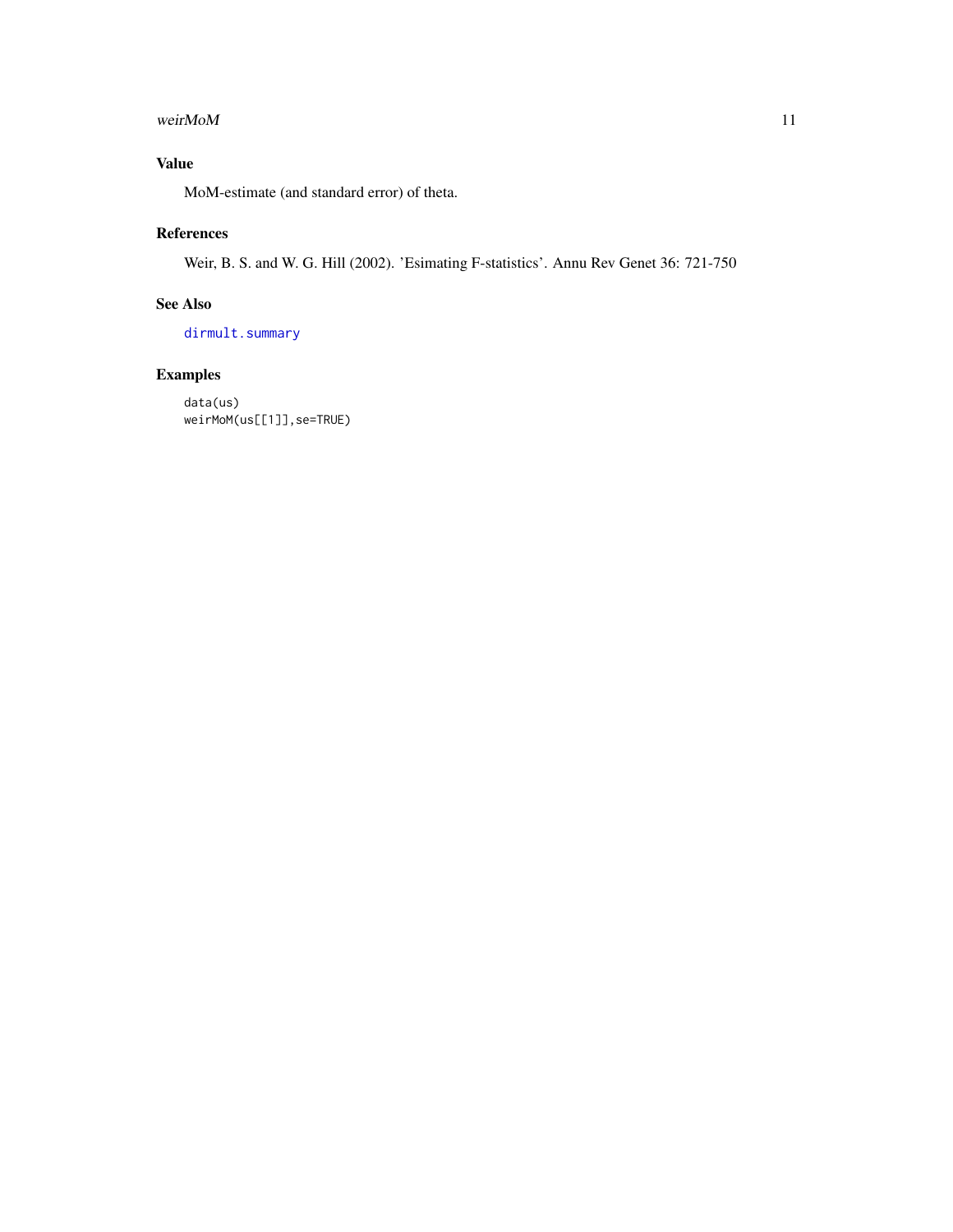#### <span id="page-10-0"></span>weir $M$ o $M$  11

#### Value

MoM-estimate (and standard error) of theta.

#### References

Weir, B. S. and W. G. Hill (2002). 'Esimating F-statistics'. Annu Rev Genet 36: 721-750

#### See Also

[dirmult.summary](#page-3-1)

### Examples

data(us) weirMoM(us[[1]],se=TRUE)